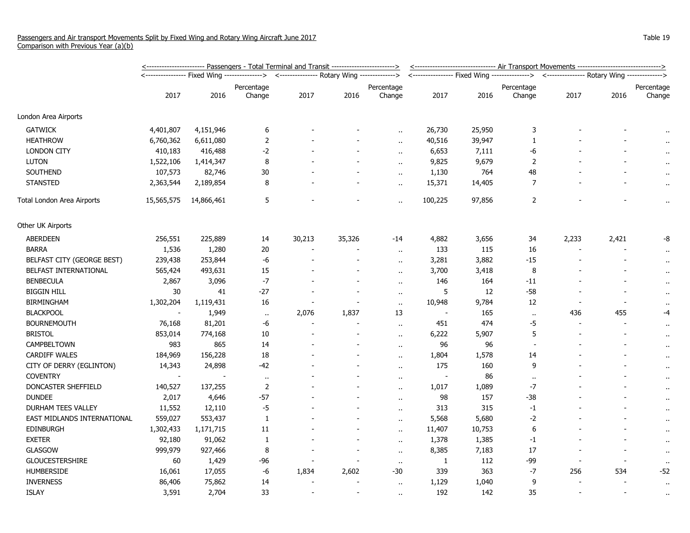|                             | <----------------------- Passengers - Total Terminal and Transit -----------------------> | <------------------------------ Air Transport Movements ------------------------------> |                                                                                          |                          |        |                      |                |        |                                                                                            |       |                          |                      |
|-----------------------------|-------------------------------------------------------------------------------------------|-----------------------------------------------------------------------------------------|------------------------------------------------------------------------------------------|--------------------------|--------|----------------------|----------------|--------|--------------------------------------------------------------------------------------------|-------|--------------------------|----------------------|
|                             |                                                                                           |                                                                                         | <---------------- Fixed Wing --------------> <--------------- Rotary Wing -------------> |                          |        |                      |                |        | <---------------- Fixed Wing ---------------> <--------------- Rotary Wing --------------> |       |                          |                      |
|                             | 2017                                                                                      | 2016                                                                                    | Percentage<br>Change                                                                     | 2017                     | 2016   | Percentage<br>Change | 2017           | 2016   | Percentage<br>Change                                                                       | 2017  | 2016                     | Percentage<br>Change |
| London Area Airports        |                                                                                           |                                                                                         |                                                                                          |                          |        |                      |                |        |                                                                                            |       |                          |                      |
| <b>GATWICK</b>              | 4,401,807                                                                                 | 4,151,946                                                                               | 6                                                                                        |                          |        | $\ddot{\phantom{a}}$ | 26,730         | 25,950 | 3                                                                                          |       |                          | $\bullet$            |
| <b>HEATHROW</b>             | 6,760,362                                                                                 | 6,611,080                                                                               | $\overline{2}$                                                                           |                          |        | $\ddot{\phantom{a}}$ | 40,516         | 39,947 | 1                                                                                          |       |                          | $\sim$               |
| <b>LONDON CITY</b>          | 410,183                                                                                   | 416,488                                                                                 | $-2$                                                                                     |                          |        | $\alpha$             | 6,653          | 7,111  | -6                                                                                         |       |                          |                      |
| <b>LUTON</b>                | 1,522,106                                                                                 | 1,414,347                                                                               | 8                                                                                        |                          |        |                      | 9,825          | 9,679  | $\overline{2}$                                                                             |       |                          |                      |
| <b>SOUTHEND</b>             | 107,573                                                                                   | 82,746                                                                                  | 30                                                                                       |                          |        | $\ddot{\phantom{a}}$ | 1,130          | 764    | 48                                                                                         |       |                          | $\sim$               |
| <b>STANSTED</b>             | 2,363,544                                                                                 | 2,189,854                                                                               | 8                                                                                        |                          |        | $\mathbf{r}$ .       | 15,371         | 14,405 | $\overline{7}$                                                                             |       |                          | $\bar{\phantom{a}}$  |
| Total London Area Airports  | 15,565,575                                                                                | 14,866,461                                                                              | 5                                                                                        |                          |        | $\ddot{\phantom{a}}$ | 100,225        | 97,856 | $\overline{2}$                                                                             |       |                          | $\alpha$             |
| Other UK Airports           |                                                                                           |                                                                                         |                                                                                          |                          |        |                      |                |        |                                                                                            |       |                          |                      |
| <b>ABERDEEN</b>             | 256,551                                                                                   | 225,889                                                                                 | 14                                                                                       | 30,213                   | 35,326 | $-14$                | 4,882          | 3,656  | 34                                                                                         | 2,233 | 2,421                    | -8                   |
| <b>BARRA</b>                | 1,536                                                                                     | 1,280                                                                                   | $20\,$                                                                                   |                          |        | $\sim$               | 133            | 115    | 16                                                                                         |       |                          | $\cdot$              |
| BELFAST CITY (GEORGE BEST)  | 239,438                                                                                   | 253,844                                                                                 | $-6$                                                                                     |                          |        | $\ddot{\phantom{a}}$ | 3,281          | 3,882  | $-15$                                                                                      |       |                          | $\alpha$             |
| BELFAST INTERNATIONAL       | 565,424                                                                                   | 493,631                                                                                 | 15                                                                                       |                          |        | $\ddot{\phantom{a}}$ | 3,700          | 3,418  | 8                                                                                          |       |                          | $\bullet$ .          |
| <b>BENBECULA</b>            | 2,867                                                                                     | 3,096                                                                                   | $-7$                                                                                     |                          |        | $\ddot{\phantom{1}}$ | 146            | 164    | $-11$                                                                                      |       |                          | $\bullet$            |
| <b>BIGGIN HILL</b>          | 30                                                                                        | 41                                                                                      | $-27$                                                                                    |                          |        | $\ddot{\phantom{a}}$ | 5              | 12     | $-58$                                                                                      |       |                          | $\bullet$ .          |
| <b>BIRMINGHAM</b>           | 1,302,204                                                                                 | 1,119,431                                                                               | 16                                                                                       |                          |        | $\sim$               | 10,948         | 9,784  | 12                                                                                         |       | $\blacksquare$           | $\bullet$            |
| <b>BLACKPOOL</b>            |                                                                                           | 1,949                                                                                   | $\mathbf{H}$                                                                             | 2,076                    | 1,837  | 13                   |                | 165    | $\ddot{\phantom{1}}$                                                                       | 436   | 455                      | $-4$                 |
| <b>BOURNEMOUTH</b>          | 76,168                                                                                    | 81,201                                                                                  | -6                                                                                       | $\overline{\phantom{a}}$ |        | $\ddot{\phantom{a}}$ | 451            | 474    | -5                                                                                         |       | $\overline{\phantom{a}}$ | $\sim$               |
| <b>BRISTOL</b>              | 853,014                                                                                   | 774,168                                                                                 | $10\,$                                                                                   |                          |        | $\bullet$ .          | 6,222          | 5,907  | 5                                                                                          |       |                          | $\cdot$              |
| <b>CAMPBELTOWN</b>          | 983                                                                                       | 865                                                                                     | 14                                                                                       |                          |        | $\bullet$ .          | 96             | 96     | $\overline{a}$                                                                             |       |                          | $\bullet$            |
| CARDIFF WALES               | 184,969                                                                                   | 156,228                                                                                 | 18                                                                                       |                          |        | $\ddot{\phantom{a}}$ | 1,804          | 1,578  | 14                                                                                         |       |                          | $\bullet$            |
| CITY OF DERRY (EGLINTON)    | 14,343                                                                                    | 24,898                                                                                  | $-42$                                                                                    |                          |        | $\ddot{\phantom{a}}$ | 175            | 160    | 9                                                                                          |       |                          | $\alpha$             |
| <b>COVENTRY</b>             | $\overline{\phantom{a}}$                                                                  | $\overline{\phantom{a}}$                                                                | $\bullet$                                                                                |                          |        | $\alpha$             | $\blacksquare$ | 86     | $\bullet$ .                                                                                |       |                          | $\bullet$            |
| DONCASTER SHEFFIELD         | 140,527                                                                                   | 137,255                                                                                 | $\overline{2}$                                                                           |                          |        | $\ddot{\phantom{a}}$ | 1,017          | 1,089  | $-7$                                                                                       |       |                          | $\mathbf{u}$         |
| <b>DUNDEE</b>               | 2,017                                                                                     | 4,646                                                                                   | $-57$                                                                                    |                          |        | $\bullet$ .          | 98             | 157    | $-38$                                                                                      |       |                          | $\bullet$            |
| DURHAM TEES VALLEY          | 11,552                                                                                    | 12,110                                                                                  | $-5$                                                                                     |                          |        | $\ddot{\phantom{1}}$ | 313            | 315    | $-1$                                                                                       |       |                          | $\bullet$            |
| EAST MIDLANDS INTERNATIONAL | 559,027                                                                                   | 553,437                                                                                 | $\mathbf{1}$                                                                             |                          |        | $\ddot{\phantom{a}}$ | 5,568          | 5,680  | $-2$                                                                                       |       |                          | $\bullet$ .          |
| EDINBURGH                   | 1,302,433                                                                                 | 1,171,715                                                                               | 11                                                                                       |                          |        | $\ddot{\phantom{a}}$ | 11,407         | 10,753 | 6                                                                                          |       |                          | $\alpha$             |
| <b>EXETER</b>               | 92,180                                                                                    | 91,062                                                                                  | 1                                                                                        |                          |        | $\alpha$             | 1,378          | 1,385  | $-1$                                                                                       |       |                          | $\bullet$            |
| <b>GLASGOW</b>              | 999,979                                                                                   | 927,466                                                                                 | 8                                                                                        |                          |        | $\ddot{\phantom{a}}$ | 8,385          | 7,183  | 17                                                                                         |       |                          | $\alpha$             |
| <b>GLOUCESTERSHIRE</b>      | 60                                                                                        | 1,429                                                                                   | $-96$                                                                                    |                          |        | $\mathbf{r}$ .       | 1              | 112    | $-99$                                                                                      |       | $\overline{\phantom{a}}$ | $\mathbf{u}$         |
| <b>HUMBERSIDE</b>           | 16,061                                                                                    | 17,055                                                                                  | -6                                                                                       | 1,834                    | 2,602  | $-30$                | 339            | 363    | -7                                                                                         | 256   | 534                      | $-52$                |
| <b>INVERNESS</b>            | 86,406                                                                                    | 75,862                                                                                  | 14                                                                                       |                          |        | $\sim$               | 1,129          | 1,040  | 9                                                                                          |       |                          | $\bullet$ .          |
| <b>ISLAY</b>                | 3,591                                                                                     | 2,704                                                                                   | 33                                                                                       |                          |        | $\alpha$             | 192            | 142    | 35                                                                                         |       | $\overline{\phantom{a}}$ |                      |